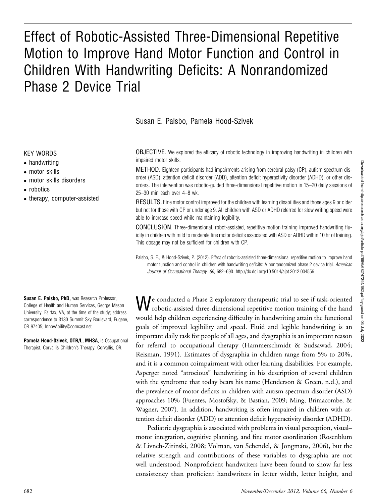# Effect of Robotic-Assisted Three-Dimensional Repetitive Motion to Improve Hand Motor Function and Control in Children With Handwriting Deficits: A Nonrandomized Phase 2 Device Trial

Susan E. Palsbo, Pamela Hood-Szivek

#### KEY WORDS

- handwriting
- motor skills
- motor skills disorders
- robotics
- therapy, computer-assisted

Susan E. Palsbo, PhD, was Research Professor, College of Health and Human Services, George Mason University, Fairfax, VA, at the time of the study; address correspondence to 3130 Summit Sky Boulevard, Eugene, OR 97405; InnovAbility@comcast.net

Pamela Hood-Szivek, OTR/L, MHSA, is Occupational Therapist, Corvallis Children's Therapy, Corvallis, OR.

OBJECTIVE. We explored the efficacy of robotic technology in improving handwriting in children with impaired motor skills.

METHOD. Eighteen participants had impairments arising from cerebral palsy (CP), autism spectrum disorder (ASD), attention deficit disorder (ADD), attention deficit hyperactivity disorder (ADHD), or other disorders. The intervention was robotic-guided three-dimensional repetitive motion in 15–20 daily sessions of 25–30 min each over 4–8 wk.

RESULTS. Fine motor control improved for the children with learning disabilities and those ages 9 or older but not for those with CP or under age 9. All children with ASD or ADHD referred for slow writing speed were able to increase speed while maintaining legibility.

CONCLUSION. Three-dimensional, robot-assisted, repetitive motion training improved handwriting fluidity in children with mild to moderate fine motor deficits associated with ASD or ADHD within 10 hr of training. This dosage may not be sufficient for children with CP.

Palsbo, S. E., & Hood-Szivek, P. (2012). Effect of robotic-assisted three-dimensional repetitive motion to improve hand motor function and control in children with handwriting deficits: A nonrandomized phase 2 device trial. American Journal of Occupational Therapy, 66, 682–690. http://dx.doi.org/10.5014/ajot.2012.004556

Me conducted a Phase 2 exploratory therapeutic trial to see if task-oriented robotic-assisted three-dimensional repetitive motion training of the hand would help children experiencing difficulty in handwriting attain the functional goals of improved legibility and speed. Fluid and legible handwriting is an important daily task for people of all ages, and dysgraphia is an important reason for referral to occupational therapy (Hammerschmidt & Sudsawad, 2004; Reisman, 1991). Estimates of dysgraphia in children range from 5% to 20%, and it is a common coimpairment with other learning disabilities. For example, Asperger noted "atrocious" handwriting in his description of several children with the syndrome that today bears his name (Henderson & Green, n.d.), and the prevalence of motor deficits in children with autism spectrum disorder (ASD) approaches 10% (Fuentes, Mostofsky, & Bastian, 2009; Ming, Brimacombe, & Wagner, 2007). In addition, handwriting is often impaired in children with attention deficit disorder (ADD) or attention deficit hyperactivity disorder (ADHD).

Pediatric dysgraphia is associated with problems in visual perception, visual– motor integration, cognitive planning, and fine motor coordination (Rosenblum & Livneh-Zirinski, 2008; Volman, van Schendel, & Jongmans, 2006), but the relative strength and contributions of these variables to dysgraphia are not well understood. Nonproficient handwriters have been found to show far less consistency than proficient handwriters in letter width, letter height, and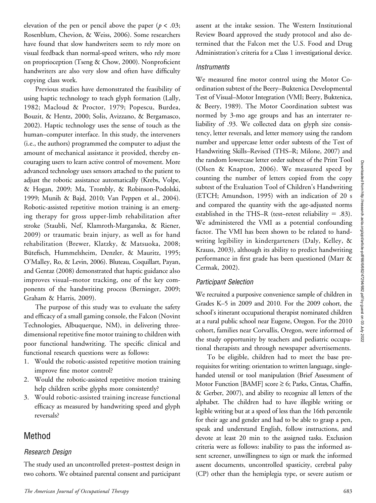elevation of the pen or pencil above the paper ( $p < .03$ ; Rosenblum, Chevion, & Weiss, 2006). Some researchers have found that slow handwriters seem to rely more on visual feedback than normal-speed writers, who rely more on proprioception (Tseng & Chow, 2000). Nonproficient handwriters are also very slow and often have difficulty copying class work.

Previous studies have demonstrated the feasibility of using haptic technology to teach glyph formation (Lally, 1982; Macloud & Proctor, 1979; Popescu, Burdea, Bouzit, & Hentz, 2000; Solis, Avizzano, & Bergamasco, 2002). Haptic technology uses the sense of touch as the human–computer interface. In this study, the interveners (i.e., the authors) programmed the computer to adjust the amount of mechanical assistance it provided, thereby encouraging users to learn active control of movement. More advanced technology uses sensors attached to the patient to adjust the robotic assistance automatically (Krebs, Volpe, & Hogan, 2009; Ma, Trombly, & Robinson-Podolski, 1999; Munih & Bajd, 2010; Van Peppen et al., 2004). Robotic-assisted repetitive motion training is an emerging therapy for gross upper-limb rehabilitation after stroke (Staubli, Nef, Klamroth-Marganska, & Riener, 2009) or traumatic brain injury, as well as for hand rehabilitation (Brewer, Klatzky, & Matsuoka, 2008; Bütefisch, Hummelsheim, Denzler, & Mauritz, 1995; O'Malley, Ro, & Levin, 2006). Bluteau, Coquillart, Payan, and Gentaz (2008) demonstrated that haptic guidance also improves visual–motor tracking, one of the key components of the handwriting process (Berninger, 2009; Graham & Harris, 2009).

The purpose of this study was to evaluate the safety and efficacy of a small gaming console, the Falcon (Novint Technologies, Albuquerque, NM), in delivering threedimensional repetitive fine motor training to children with poor functional handwriting. The specific clinical and functional research questions were as follows:

- 1. Would the robotic-assisted repetitive motion training improve fine motor control?
- 2. Would the robotic-assisted repetitive motion training help children scribe glyphs more consistently?
- 3. Would robotic-assisted training increase functional efficacy as measured by handwriting speed and glyph reversals?

# Method

## Research Design

The study used an uncontrolled pretest–posttest design in two cohorts. We obtained parental consent and participant assent at the intake session. The Western Institutional Review Board approved the study protocol and also determined that the Falcon met the U.S. Food and Drug Administration's criteria for a Class 1 investigational device.

#### **Instruments**

We measured fine motor control using the Motor Coordination subtest of the Beery–Buktenica Developmental Test of Visual–Motor Integration (VMI; Beery, Buktenica, & Beery, 1989). The Motor Coordination subtest was normed by 3-mo age groups and has an interrater reliability of .93. We collected data on glyph size consistency, letter reversals, and letter memory using the random number and uppercase letter order subtests of the Test of Handwriting Skills–Revised (THS–R; Milone, 2007) and the random lowercase letter order subtest of the Print Tool (Olsen & Knapton, 2006). We measured speed by counting the number of letters copied from the copy subtest of the Evaluation Tool of Children's Handwriting (ETCH; Amundson, 1995) with an indication of 20 s and compared the quantity with the age-adjusted norms established in the THS–R (test–retest reliability  $= .83$ ). We administered the VMI as a potential confounding factor. The VMI has been shown to be related to handwriting legibility in kindergarteners (Daly, Kelley, & Krauss, 2003), although its ability to predict handwriting performance in first grade has been questioned (Marr & Cermak, 2002).

## Participant Selection

We recruited a purposive convenience sample of children in Grades K–5 in 2009 and 2010. For the 2009 cohort, the school's itinerant occupational therapist nominated children at a rural public school near Eugene, Oregon. For the 2010 cohort, families near Corvallis, Oregon, were informed of the study opportunity by teachers and pediatric occupational therapists and through newspaper advertisements.

To be eligible, children had to meet the base prerequisites for writing: orientation to written language, singlehanded utensil or tool manipulation (Brief Assessment of Motor Function [BAMF] score  $\geq$  6; Parks, Cintas, Chaffin, & Gerber, 2007), and ability to recognize all letters of the alphabet. The children had to have illegible writing or legible writing but at a speed of less than the 16th percentile for their age and gender and had to be able to grasp a pen, speak and understand English, follow instructions, and devote at least 20 min to the assigned tasks. Exclusion criteria were as follows: inability to pass the informed assent screener, unwillingness to sign or mark the informed assent documents, uncontrolled spasticity, cerebral palsy (CP) other than the hemiplegia type, or severe autism or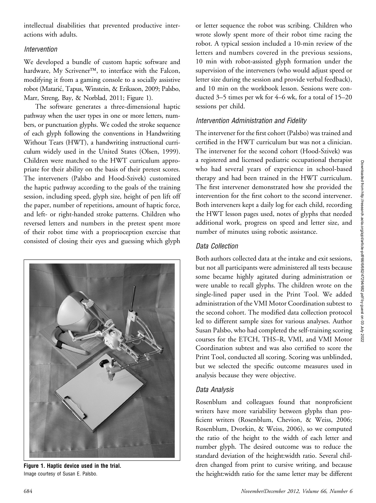intellectual disabilities that prevented productive interactions with adults.

## Intervention

We developed a bundle of custom haptic software and hardware, My Scrivener<sup>TM</sup>, to interface with the Falcon, modifying it from a gaming console to a socially assistive robot (Mataric, Tapus, Winstein, & Eriksson, 2009; Palsbo, Marr, Streng, Bay, & Norblad, 2011; Figure 1).

The software generates a three-dimensional haptic pathway when the user types in one or more letters, numbers, or punctuation glyphs. We coded the stroke sequence of each glyph following the conventions in Handwriting Without Tears (HWT), a handwriting instructional curriculum widely used in the United States (Olsen, 1999). Children were matched to the HWT curriculum appropriate for their ability on the basis of their pretest scores. The interveners (Palsbo and Hood-Szivek) customized the haptic pathway according to the goals of the training session, including speed, glyph size, height of pen lift off the paper, number of repetitions, amount of haptic force, and left- or right-handed stroke patterns. Children who reversed letters and numbers in the pretest spent more of their robot time with a proprioception exercise that consisted of closing their eyes and guessing which glyph



Figure 1. Haptic device used in the trial. Image courtesy of Susan E. Palsbo.

or letter sequence the robot was scribing. Children who wrote slowly spent more of their robot time racing the robot. A typical session included a 10-min review of the letters and numbers covered in the previous sessions, 10 min with robot-assisted glyph formation under the supervision of the interveners (who would adjust speed or letter size during the session and provide verbal feedback), and 10 min on the workbook lesson. Sessions were conducted 3–5 times per wk for 4–6 wk, for a total of 15–20 sessions per child.

## Intervention Administration and Fidelity

The intervener for the first cohort (Palsbo) was trained and certified in the HWT curriculum but was not a clinician. The intervener for the second cohort (Hood-Szivek) was a registered and licensed pediatric occupational therapist who had several years of experience in school-based therapy and had been trained in the HWT curriculum. The first intervener demonstrated how she provided the intervention for the first cohort to the second intervener. Both interveners kept a daily log for each child, recording the HWT lesson pages used, notes of glyphs that needed additional work, progress on speed and letter size, and number of minutes using robotic assistance.

## Data Collection

Both authors collected data at the intake and exit sessions, but not all participants were administered all tests because some became highly agitated during administration or were unable to recall glyphs. The children wrote on the single-lined paper used in the Print Tool. We added administration of the VMI Motor Coordination subtest to the second cohort. The modified data collection protocol led to different sample sizes for various analyses. Author Susan Palsbo, who had completed the self-training scoring courses for the ETCH, THS–R, VMI, and VMI Motor Coordination subtest and was also certified to score the Print Tool, conducted all scoring. Scoring was unblinded, but we selected the specific outcome measures used in analysis because they were objective.

## Data Analysis

Rosenblum and colleagues found that nonproficient writers have more variability between glyphs than proficient writers (Rosenblum, Chevion, & Weiss, 2006; Rosenblum, Dvorkin, & Weiss, 2006), so we computed the ratio of the height to the width of each letter and number glyph. The desired outcome was to reduce the standard deviation of the height:width ratio. Several children changed from print to cursive writing, and because the height:width ratio for the same letter may be different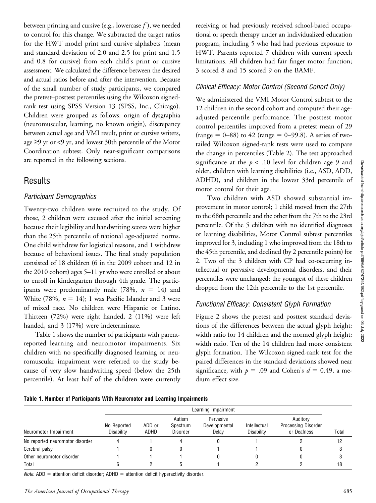between printing and cursive (e.g., lowercase  $f$ ), we needed to control for this change. We subtracted the target ratios for the HWT model print and cursive alphabets (mean and standard deviation of 2.0 and 2.5 for print and 1.5 and 0.8 for cursive) from each child's print or cursive assessment. We calculated the difference between the desired and actual ratios before and after the intervention. Because of the small number of study participants, we compared the pretest–posttest percentiles using the Wilcoxon signedrank test using SPSS Version 13 (SPSS, Inc., Chicago). Children were grouped as follows: origin of dysgraphia (neuromuscular, learning, no known origin), discrepancy between actual age and VMI result, print or cursive writers, age  $\geq$ 9 yr or <9 yr, and lowest 30th percentile of the Motor Coordination subtest. Only near-significant comparisons are reported in the following sections.

# **Results**

## Participant Demographics

Twenty-two children were recruited to the study. Of those, 2 children were excused after the initial screening because their legibility and handwriting scores were higher than the 25th percentile of national age-adjusted norms. One child withdrew for logistical reasons, and 1 withdrew because of behavioral issues. The final study population consisted of 18 children (6 in the 2009 cohort and 12 in the 2010 cohort) ages 5–11 yr who were enrolled or about to enroll in kindergarten through 4th grade. The participants were predominantly male (78%,  $n = 14$ ) and White (78%,  $n = 14$ ); 1 was Pacific Islander and 3 were of mixed race. No children were Hispanic or Latino. Thirteen (72%) were right handed, 2 (11%) were left handed, and 3 (17%) were indeterminate.

Table 1 shows the number of participants with parentreported learning and neuromotor impairments. Six children with no specifically diagnosed learning or neuromuscular impairment were referred to the study because of very slow handwriting speed (below the 25th percentile). At least half of the children were currently receiving or had previously received school-based occupational or speech therapy under an individualized education program, including 5 who had had previous exposure to HWT. Parents reported 7 children with current speech limitations. All children had fair finger motor function; 3 scored 8 and 15 scored 9 on the BAMF.

## Clinical Efficacy: Motor Control (Second Cohort Only)

We administered the VMI Motor Control subtest to the 12 children in the second cohort and computed their ageadjusted percentile performance. The posttest motor control percentiles improved from a pretest mean of 29 (range = 0–88) to 42 (range = 0–99.8). A series of twotailed Wilcoxon signed-rank tests were used to compare the change in percentiles (Table 2). The test approached significance at the  $p < .10$  level for children age 9 and older, children with learning disabilities (i.e., ASD, ADD, ADHD), and children in the lowest 33rd percentile of motor control for their age.

Two children with ASD showed substantial improvement in motor control; 1 child moved from the 27th to the 68th percentile and the other from the 7th to the 23rd percentile. Of the 5 children with no identified diagnoses or learning disabilities, Motor Control subtest percentiles improved for 3, including 1 who improved from the 18th to the 45th percentile, and declined (by 2 percentile points) for 2. Two of the 3 children with CP had co-occurring intellectual or pervasive developmental disorders, and their percentiles were unchanged; the youngest of these children dropped from the 12th percentile to the 1st percentile.

# Functional Efficacy: Consistent Glyph Formation

Figure 2 shows the pretest and posttest standard deviations of the differences between the actual glyph height: width ratio for 14 children and the normed glyph height: width ratio. Ten of the 14 children had more consistent glyph formation. The Wilcoxon signed-rank test for the paired differences in the standard deviations showed near significance, with  $p = .09$  and Cohen's  $d = 0.49$ , a medium effect size.

|                                 | Learning Impairment       |                |                                       |                                     |                            |                                                       |       |
|---------------------------------|---------------------------|----------------|---------------------------------------|-------------------------------------|----------------------------|-------------------------------------------------------|-------|
| Neuromotor Impairment           | No Reported<br>Disability | ADD or<br>ADHD | Autism<br>Spectrum<br><b>Disorder</b> | Pervasive<br>Developmental<br>Delav | Intellectual<br>Disability | Auditory<br><b>Processing Disorder</b><br>or Deafness | Total |
| No reported neuromotor disorder |                           |                |                                       |                                     |                            |                                                       | 12    |
| Cerebral palsy                  |                           |                |                                       |                                     |                            |                                                       |       |
| Other neuromotor disorder       |                           |                |                                       |                                     |                            |                                                       |       |
| Total                           |                           |                |                                       |                                     |                            |                                                       | 18    |

*Note.* ADD = attention deficit disorder; ADHD = attention deficit hyperactivity disorder.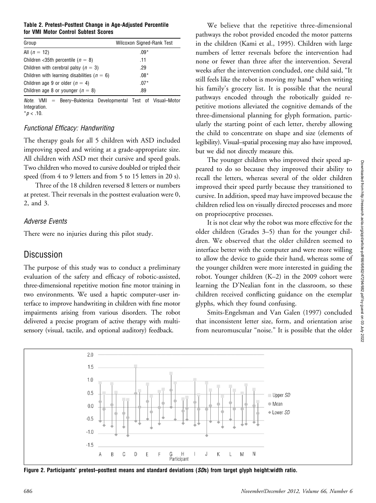Table 2. Pretest–Posttest Change in Age-Adjusted Percentile for VMI Motor Control Subtest Scores

| Group                                           | Wilcoxon Signed-Rank Test |
|-------------------------------------------------|---------------------------|
| All $(n = 12)$                                  | $.09*$                    |
| Children <35th percentile ( $n = 8$ )           | .11                       |
| Children with cerebral palsy ( $n = 3$ )        | .29                       |
| Children with learning disabilities ( $n = 6$ ) | $.08*$                    |
| Children age 9 or older ( $n = 4$ )             | $.07*$                    |
| Children age 8 or younger ( $n = 8$ )           | .89                       |

 $Note.$  VMI = Beery–Buktenica Developmental Test of Visual–Motor Integration.  $*p$  < .10.

#### Functional Efficacy: Handwriting

The therapy goals for all 5 children with ASD included improving speed and writing at a grade-appropriate size. All children with ASD met their cursive and speed goals. Two children who moved to cursive doubled or tripled their speed (from 4 to 9 letters and from 5 to 15 letters in 20 s).

Three of the 18 children reversed 8 letters or numbers at pretest. Their reversals in the posttest evaluation were 0, 2, and 3.

## Adverse Events

There were no injuries during this pilot study.

# **Discussion**

The purpose of this study was to conduct a preliminary evaluation of the safety and efficacy of robotic-assisted, three-dimensional repetitive motion fine motor training in two environments. We used a haptic computer–user interface to improve handwriting in children with fine motor impairments arising from various disorders. The robot delivered a precise program of active therapy with multisensory (visual, tactile, and optional auditory) feedback.

We believe that the repetitive three-dimensional pathways the robot provided encoded the motor patterns in the children (Kami et al., 1995). Children with large numbers of letter reversals before the intervention had none or fewer than three after the intervention. Several weeks after the intervention concluded, one child said, "It still feels like the robot is moving my hand" when writing his family's grocery list. It is possible that the neural pathways encoded through the robotically guided repetitive motions alleviated the cognitive demands of the three-dimensional planning for glyph formation, particularly the starting point of each letter, thereby allowing the child to concentrate on shape and size (elements of legibility). Visual–spatial processing may also have improved, but we did not directly measure this.

The younger children who improved their speed appeared to do so because they improved their ability to recall the letters, whereas several of the older children improved their speed partly because they transitioned to cursive. In addition, speed may have improved because the children relied less on visually directed processes and more on proprioceptive processes.

It is not clear why the robot was more effective for the older children (Grades 3–5) than for the younger children. We observed that the older children seemed to interface better with the computer and were more willing to allow the device to guide their hand, whereas some of the younger children were more interested in guiding the robot. Younger children (K–2) in the 2009 cohort were learning the D'Nealian font in the classroom, so these children received conflicting guidance on the exemplar glyphs, which they found confusing.

Smits-Engelsman and Van Galen (1997) concluded that inconsistent letter size, form, and orientation arise from neuromuscular "noise." It is possible that the older



Figure 2. Participants' pretest–posttest means and standard deviations (SDs) from target glyph height:width ratio.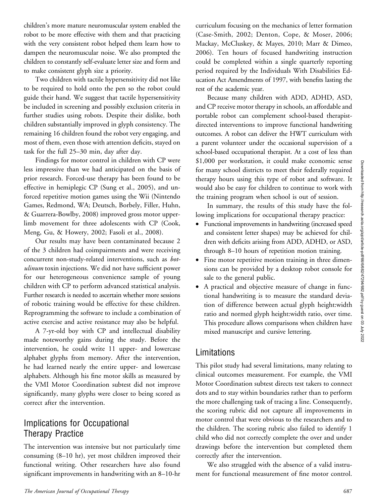children's more mature neuromuscular system enabled the robot to be more effective with them and that practicing with the very consistent robot helped them learn how to dampen the neuromuscular noise. We also prompted the children to constantly self-evaluate letter size and form and to make consistent glyph size a priority.

Two children with tactile hypersensitivity did not like to be required to hold onto the pen so the robot could guide their hand. We suggest that tactile hypersensitivity be included in screening and possibly exclusion criteria in further studies using robots. Despite their dislike, both children substantially improved in glyph consistency. The remaining 16 children found the robot very engaging, and most of them, even those with attention deficits, stayed on task for the full 25–30 min, day after day.

Findings for motor control in children with CP were less impressive than we had anticipated on the basis of prior research. Forced-use therapy has been found to be effective in hemiplegic CP (Sung et al., 2005), and unforced repetitive motion games using the Wii (Nintendo Games, Redmond, WA; Deutsch, Borbely, Filler, Huhn, & Guarrera-Bowlby, 2008) improved gross motor upperlimb movement for three adolescents with CP (Cook, Meng, Gu, & Howery, 2002; Fasoli et al., 2008).

Our results may have been contaminated because 2 of the 3 children had coimpairments and were receiving concurrent non-study-related interventions, such as botulinum toxin injections. We did not have sufficient power for our heterogeneous convenience sample of young children with CP to perform advanced statistical analysis. Further research is needed to ascertain whether more sessions of robotic training would be effective for these children. Reprogramming the software to include a combination of active exercise and active resistance may also be helpful.

A 7-yr-old boy with CP and intellectual disability made noteworthy gains during the study. Before the intervention, he could write 11 upper- and lowercase alphabet glyphs from memory. After the intervention, he had learned nearly the entire upper- and lowercase alphabets. Although his fine motor skills as measured by the VMI Motor Coordination subtest did not improve significantly, many glyphs were closer to being scored as correct after the intervention.

# Implications for Occupational Therapy Practice

The intervention was intensive but not particularly time consuming (8–10 hr), yet most children improved their functional writing. Other researchers have also found significant improvements in handwriting with an 8–10-hr

curriculum focusing on the mechanics of letter formation (Case-Smith, 2002; Denton, Cope, & Moser, 2006; Mackay, McCluskey, & Mayes, 2010; Marr & Dimeo, 2006). Ten hours of focused handwriting instruction could be completed within a single quarterly reporting period required by the Individuals With Disabilities Education Act Amendments of 1997, with benefits lasting the rest of the academic year.

Because many children with ADD, ADHD, ASD, and CP receive motor therapy in schools, an affordable and portable robot can complement school-based therapistdirected interventions to improve functional handwriting outcomes. A robot can deliver the HWT curriculum with a parent volunteer under the occasional supervision of a school-based occupational therapist. At a cost of less than \$1,000 per workstation, it could make economic sense for many school districts to meet their federally required therapy hours using this type of robot and software. It would also be easy for children to continue to work with the training program when school is out of session.

In summary, the results of this study have the following implications for occupational therapy practice:

- Functional improvements in handwriting (increased speed and consistent letter shapes) may be achieved for children with deficits arising from ADD, ADHD, or ASD, through 8–10 hours of repetition motion training.
- Fine motor repetitive motion training in three dimensions can be provided by a desktop robot console for sale to the general public.
- A practical and objective measure of change in functional handwriting is to measure the standard deviation of difference between actual glyph height:width ratio and normed glyph height:width ratio, over time. This procedure allows comparisons when children have mixed manuscript and cursive lettering.

# Limitations

This pilot study had several limitations, many relating to clinical outcomes measurement. For example, the VMI Motor Coordination subtest directs test takers to connect dots and to stay within boundaries rather than to perform the more challenging task of tracing a line. Consequently, the scoring rubric did not capture all improvements in motor control that were obvious to the researchers and to the children. The scoring rubric also failed to identify 1 child who did not correctly complete the over and under drawings before the intervention but completed them correctly after the intervention.

We also struggled with the absence of a valid instrument for functional measurement of fine motor control.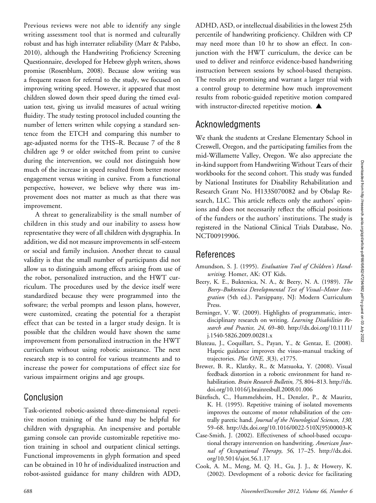Previous reviews were not able to identify any single writing assessment tool that is normed and culturally robust and has high interrater reliability (Marr & Palsbo, 2010), although the Handwriting Proficiency Screening Questionnaire, developed for Hebrew glyph writers, shows promise (Rosenblum, 2008). Because slow writing was a frequent reason for referral to the study, we focused on improving writing speed. However, it appeared that most children slowed down their speed during the timed evaluation test, giving us invalid measures of actual writing fluidity. The study testing protocol included counting the number of letters written while copying a standard sentence from the ETCH and comparing this number to age-adjusted norms for the THS–R. Because 7 of the 8 children age 9 or older switched from print to cursive during the intervention, we could not distinguish how much of the increase in speed resulted from better motor engagement versus writing in cursive. From a functional perspective, however, we believe why there was improvement does not matter as much as that there was improvement.

A threat to generalizability is the small number of children in this study and our inability to assess how representative they were of all children with dysgraphia. In addition, we did not measure improvements in self-esteem or social and family inclusion. Another threat to causal validity is that the small number of participants did not allow us to distinguish among effects arising from use of the robot, personalized instruction, and the HWT curriculum. The procedures used by the device itself were standardized because they were programmed into the software; the verbal prompts and lesson plans, however, were customized, creating the potential for a therapist effect that can be tested in a larger study design. It is possible that the children would have shown the same improvement from personalized instruction in the HWT curriculum without using robotic assistance. The next research step is to control for various treatments and to increase the power for computations of effect size for various impairment origins and age groups.

## Conclusion

Task-oriented robotic-assisted three-dimensional repetitive motion training of the hand may be helpful for children with dysgraphia. An inexpensive and portable gaming console can provide customizable repetitive motion training in school and outpatient clinical settings. Functional improvements in glyph formation and speed can be obtained in 10 hr of individualized instruction and robot-assisted guidance for many children with ADD, ADHD, ASD, or intellectual disabilities in the lowest 25th percentile of handwriting proficiency. Children with CP may need more than 10 hr to show an effect. In conjunction with the HWT curriculum, the device can be used to deliver and reinforce evidence-based handwriting instruction between sessions by school-based therapists. The results are promising and warrant a larger trial with a control group to determine how much improvement results from robotic-guided repetitive motion compared with instructor-directed repetitive motion.  $\blacktriangle$ 

## Acknowledgments

We thank the students at Creslane Elementary School in Creswell, Oregon, and the participating families from the mid-Willamette Valley, Oregon. We also appreciate the in-kind support from Handwriting Without Tears of their workbooks for the second cohort. This study was funded by National Institutes for Disability Rehabilitation and Research Grant No. H133S070082 and by Obslap Research, LLC. This article reflects only the authors' opinions and does not necessarily reflect the official positions of the funders or the authors' institutions. The study is registered in the National Clinical Trials Database, No. NCT00919906.

# References

- Amundson, S. J. (1995). Evaluation Tool of Children's Handwriting. Homer, AK: OT Kids.
- Beery, K. E., Buktenica, N. A., & Beery, N. A. (1989). The Beery–Buktenica Developmental Test of Visual–Motor Integration (5th ed.). Parsippany, NJ: Modern Curriculum Press.
- Berninger, V. W. (2009). Highlights of programmatic, interdisciplinary research on writing. Learning Disabilities Research and Practice, 24, 69–80. http://dx.doi.org/10.1111/ j.1540-5826.2009.00281.x
- Bluteau, J., Coquillart, S., Payan, Y., & Gentaz, E. (2008). Haptic guidance improves the visuo-manual tracking of trajectories. Plos ONE, 3(3), e1775.
- Brewer, B. R., Klatzky, R., & Matsuoka, Y. (2008). Visual feedback distortion in a robotic environment for hand rehabilitation. Brain Research Bulletin, 75, 804–813. http://dx. doi.org/10.1016/j.brainresbull.2008.01.006
- Bütefisch, C., Hummelsheim, H., Denzler, P., & Mauritz, K. H. (1995). Repetitive training of isolated movements improves the outcome of motor rehabilitation of the centrally paretic hand. Journal of the Neurological Sciences, 130, 59–68. http://dx.doi.org/10.1016/0022-510X(95)00003-K
- Case-Smith, J. (2002). Effectiveness of school-based occupational therapy intervention on handwriting. American Journal of Occupational Therapy, 56, 17–25. http://dx.doi. org/10.5014/ajot.56.1.17
- Cook, A. M., Meng, M. Q. H., Gu, J. J., & Howery, K. (2002). Development of a robotic device for facilitating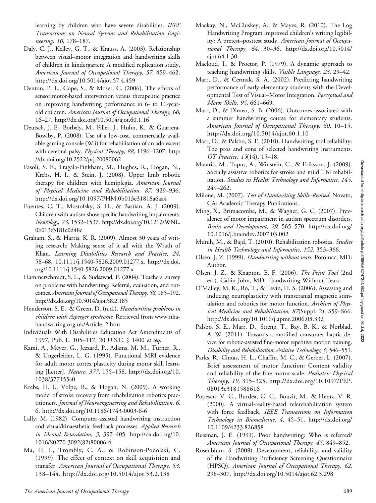learning by children who have severe disabilities. IEEE Transactions on Neural Systems and Rehabilitation Engineering, 10, 178–187.

- Daly, C. J., Kelley, G. T., & Krauss, A. (2003). Relationship between visual–motor integration and handwriting skills of children in kindergarten: A modified replication study. American Journal of Occupational Therapy, 57, 459–462. http://dx.doi.org/10.5014/ajot.57.4.459
- Denton, P. L., Cope, S., & Moser, C. (2006). The effects of sensorimotor-based intervention versus therapeutic practice on improving handwriting performance in 6- to 11-yearold children. American Journal of Occupational Therapy, 60, 16–27. http://dx.doi.org/10.5014/ajot.60.1.16
- Deutsch, J. E., Borbely, M., Filler, J., Huhn, K., & Guarrera-Bowlby, P. (2008). Use of a low-cost, commercially available gaming console (Wii) for rehabilitation of an adolescent with cerebral palsy. Physical Therapy, 88, 1196-1207. http: //dx.doi.org/10.2522/ptj.20080062
- Fasoli, S. E., Fragala-Pinkham, M., Hughes, R., Hogan, N., Krebs, H. I., & Stein, J. (2008). Upper limb robotic therapy for children with hemiplegia. American Journal of Physical Medicine and Rehabilitation, 87, 929–936. http://dx.doi.org/10.1097/PHM.0b013e31818a6aa4
- Fuentes, C. T., Mostofsky, S. H., & Bastian, A. J. (2009). Children with autism show specific handwriting impairments. Neurology, 73, 1532–1537. http://dx.doi.org/10.1212/WNL. 0b013e3181c0d48c
- Graham, S., & Harris, K. R. (2009). Almost 30 years of writing research: Making sense of it all with the Wrath of Khan. Learning Disabilities Research and Practice, 24, 58–68. 10.1111/j.1540-5826.2009.01277.x. http://dx.doi. org/10.1111/j.1540-5826.2009.01277.x
- Hammerschmidt, S. L., & Sudsawad, P. (2004). Teachers' survey on problems with handwriting: Referral, evaluation, and outcomes. American Journal of Occupational Therapy, 58, 185–192. http://dx.doi.org/10.5014/ajot.58.2.185
- Henderson, S. E., & Green, D. (n.d.). Handwriting problems in children with Asperger syndrome. Retrieved from www.nhahandwriting.org.uk/Article\_2.htm
- Individuals With Disabilities Education Act Amendments of 1997, Pub. L. 105-117, 20 U.S.C. § 1400 et seq.
- Kami, A., Meyer, G., Jezzard, P., Adams, M. M., Turner, R., & Ungerleider, L. G. (1995). Functional MRI evidence for adult motor cortex plasticity during motor skill learning [Letter]. Nature, 377, 155–158. http://dx.doi.org/10. 1038/377155a0
- Krebs, H. I., Volpe, B., & Hogan, N. (2009). A working model of stroke recovery from rehabilitation robotics practitioners. Journal of Neuroengineering and Rehabilitation, 6, 6. http://dx.doi.org/10.1186/1743-0003-6-6
- Lally, M. (1982). Computer-assisted handwriting instruction and visual/kinaesthetic feedback processes. Applied Research in Mental Retardation, 3, 397–405. http://dx.doi.org/10. 1016/S0270-3092(82)80006-4
- Ma, H. I., Trombly, C. A., & Robinson-Podolski, C. (1999). The effect of context on skill acquisition and transfer. American Journal of Occupational Therapy, 53, 138–144. http://dx.doi.org/10.5014/ajot.53.2.138
- Mackay, N., McCluskey, A., & Mayes, R. (2010). The Log Handwriting Program improved children's writing legibility: A pretest-posttest study. American Journal of Occupational Therapy, 64, 30–36. http://dx.doi.org/10.5014/ ajot.64.1.30
- Macloud, I., & Proctor, P. (1979). A dynamic approach to teaching handwriting skills. Visible Language, 23, 29–42.
- Marr, D., & Cermak, S. A. (2002). Predicting handwriting performance of early elementary students with the Developmental Test of Visual–Motor Integration. Perceptual and Motor Skills, 95, 661–669.
- Marr, D., & Dimeo, S. B. (2006). Outcomes associated with a summer handwriting course for elementary students. American Journal of Occupational Therapy, 60, 10–15. http://dx.doi.org/10.5014/ajot.60.1.10
- Marr, D., & Palsbo, S. E. (2010). Handwriting tool reliability: The pros and cons of selected handwriting instruments. OT Practice, 15(14), 15–18.
- Mataric, M., Tapus, A., Winstein, C., & Eriksson, J. (2009). Socially assistive robotics for stroke and mild TBI rehabilitation. Studies in Health Technology and Informatics, 145, 249–262.
- Milone, M. (2007). Test of Handwriting Skills–Revised. Novato, CA: Academic Therapy Publications.
- Ming, X., Brimacombe, M., & Wagner, G. C. (2007). Prevalence of motor impairment in autism spectrum disorders. Brain and Development, 29, 565–570. http://dx.doi.org/ 10.1016/j.braindev.2007.03.002
- Munih, M., & Bajd, T. (2010). Rehabilitation robotics. Studies in Health Technology and Informatics, 152, 353–366.
- Olsen, J. Z. (1999). Handwriting without tears. Potomac, MD: Author.
- Olsen, J. Z., & Knapton, E. F. (2006). The Print Tool (2nd ed.). Cabin John, MD: Handwriting Without Tears.
- O'Malley, M. K., Ro, T., & Levin, H. S. (2006). Assessing and inducing neuroplasticity with transcranial magnetic stimulation and robotics for motor function. Archives of Physical Medicine and Rehabilitation, 87(Suppl. 2), S59–S66. http://dx.doi.org/10.1016/j.apmr.2006.08.332
- Palsbo, S. E., Marr, D., Streng, T., Bay, B. K., & Norblad, A. W. (2011). Towards a modified consumer haptic device for robotic-assisted fine-motor repetitive motion training. Disability and Rehabilitation: Assistive Technology, 6, 546–551.
- Parks, R., Cintas, H. L., Chaffin, M. C., & Gerber, L. (2007). Brief assessment of motor function: Content validity and reliability of the fine motor scale. Pediatric Physical Therapy, 19, 315–325. http://dx.doi.org/10.1097/PEP. 0b013e3181588616
- Popescu, V. G., Burdea, G. C., Bouzit, M., & Hentz, V. R. (2000). A virtual-reality-based telerehabilitation system with force feedback. IEEE Transactions on Information Technology in Biomedicine, 4, 45–51. http://dx.doi.org/ 10.1109/4233.826858
- Reisman, J. E. (1991). Poor handwriting: Who is referred? American Journal of Occupational Therapy, 45, 849–852.
- Rosenblum, S. (2008). Development, reliability, and validity of the Handwriting Proficiency Screening Questionnaire (HPSQ). American Journal of Occupational Therapy, 62, 298–307. http://dx.doi.org/10.5014/ajot.62.3.298